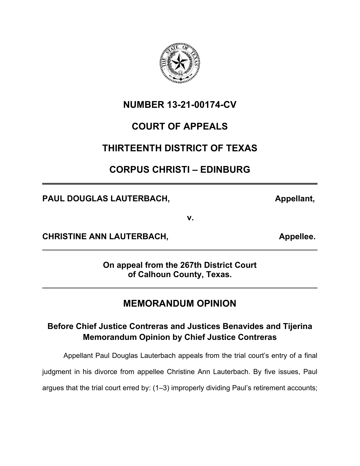

**NUMBER 13-21-00174-CV**

## **COURT OF APPEALS**

## **THIRTEENTH DISTRICT OF TEXAS**

## **CORPUS CHRISTI – EDINBURG**

**PAUL DOUGLAS LAUTERBACH, Appellant, Appellant, Appellant, Appellant, Appellant, Appellant, Appellant, Appellant, Appellant, Appellant, Appellant, Appellant, Appellant, Appellant, Appellant, Appellant, Appellant, Appellant** 

**v.**

**CHRISTINE ANN LAUTERBACH, CHRISTINE APPELLERED APPELLERED APPELLERED APPELLERED APPELLERED APPELLERED APPELLER** 

**On appeal from the 267th District Court of Calhoun County, Texas.**

# **MEMORANDUM OPINION**

## **Before Chief Justice Contreras and Justices Benavides and Tijerina Memorandum Opinion by Chief Justice Contreras**

Appellant Paul Douglas Lauterbach appeals from the trial court's entry of a final

judgment in his divorce from appellee Christine Ann Lauterbach. By five issues, Paul

argues that the trial court erred by: (1–3) improperly dividing Paul's retirement accounts;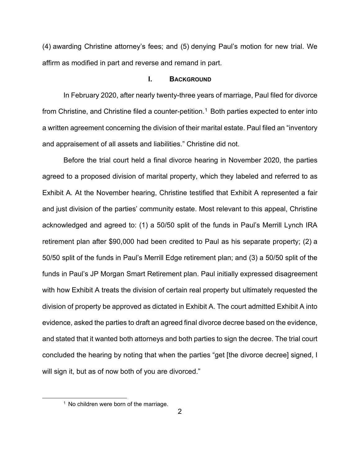(4) awarding Christine attorney's fees; and (5) denying Paul's motion for new trial. We affirm as modified in part and reverse and remand in part.

## **I. BACKGROUND**

In February 2020, after nearly twenty-three years of marriage, Paul filed for divorce from Christine, and Christine filed a counter-petition. [1](#page-1-0) Both parties expected to enter into a written agreement concerning the division of their marital estate. Paul filed an "inventory and appraisement of all assets and liabilities." Christine did not.

Before the trial court held a final divorce hearing in November 2020, the parties agreed to a proposed division of marital property, which they labeled and referred to as Exhibit A. At the November hearing, Christine testified that Exhibit A represented a fair and just division of the parties' community estate. Most relevant to this appeal, Christine acknowledged and agreed to: (1) a 50/50 split of the funds in Paul's Merrill Lynch IRA retirement plan after \$90,000 had been credited to Paul as his separate property; (2) a 50/50 split of the funds in Paul's Merrill Edge retirement plan; and (3) a 50/50 split of the funds in Paul's JP Morgan Smart Retirement plan. Paul initially expressed disagreement with how Exhibit A treats the division of certain real property but ultimately requested the division of property be approved as dictated in Exhibit A. The court admitted Exhibit A into evidence, asked the parties to draft an agreed final divorce decree based on the evidence, and stated that it wanted both attorneys and both parties to sign the decree. The trial court concluded the hearing by noting that when the parties "get [the divorce decree] signed, I will sign it, but as of now both of you are divorced."

<span id="page-1-0"></span><sup>&</sup>lt;sup>1</sup> No children were born of the marriage.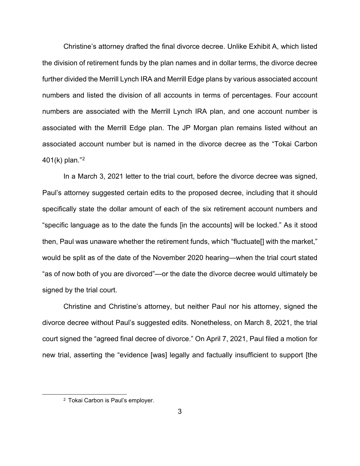Christine's attorney drafted the final divorce decree. Unlike Exhibit A, which listed the division of retirement funds by the plan names and in dollar terms, the divorce decree further divided the Merrill Lynch IRA and Merrill Edge plans by various associated account numbers and listed the division of all accounts in terms of percentages. Four account numbers are associated with the Merrill Lynch IRA plan, and one account number is associated with the Merrill Edge plan. The JP Morgan plan remains listed without an associated account number but is named in the divorce decree as the "Tokai Carbon 401(k) plan."[2](#page-2-0)

In a March 3, 2021 letter to the trial court, before the divorce decree was signed, Paul's attorney suggested certain edits to the proposed decree, including that it should specifically state the dollar amount of each of the six retirement account numbers and "specific language as to the date the funds [in the accounts] will be locked." As it stood then, Paul was unaware whether the retirement funds, which "fluctuate[] with the market," would be split as of the date of the November 2020 hearing—when the trial court stated "as of now both of you are divorced"—or the date the divorce decree would ultimately be signed by the trial court.

Christine and Christine's attorney, but neither Paul nor his attorney, signed the divorce decree without Paul's suggested edits. Nonetheless, on March 8, 2021, the trial court signed the "agreed final decree of divorce." On April 7, 2021, Paul filed a motion for new trial, asserting the "evidence [was] legally and factually insufficient to support [the

<span id="page-2-0"></span><sup>2</sup> Tokai Carbon is Paul's employer.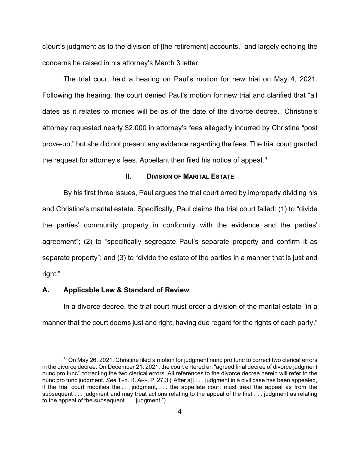c]ourt's judgment as to the division of [the retirement] accounts," and largely echoing the concerns he raised in his attorney's March 3 letter.

The trial court held a hearing on Paul's motion for new trial on May 4, 2021. Following the hearing, the court denied Paul's motion for new trial and clarified that "all dates as it relates to monies will be as of the date of the divorce decree." Christine's attorney requested nearly \$2,000 in attorney's fees allegedly incurred by Christine "post prove-up," but she did not present any evidence regarding the fees. The trial court granted the request for attorney's fees. Appellant then filed his notice of appeal.<sup>[3](#page-3-0)</sup>

## **II. DIVISION OF MARITAL ESTATE**

By his first three issues, Paul argues the trial court erred by improperly dividing his and Christine's marital estate. Specifically, Paul claims the trial court failed: (1) to "divide the parties' community property in conformity with the evidence and the parties' agreement"; (2) to "specifically segregate Paul's separate property and confirm it as separate property"; and (3) to "divide the estate of the parties in a manner that is just and right."

#### **A. Applicable Law & Standard of Review**

In a divorce decree, the trial court must order a division of the marital estate "in a manner that the court deems just and right, having due regard for the rights of each party."

<span id="page-3-0"></span><sup>3</sup> On May 26, 2021, Christine filed a motion for judgment nunc pro tunc to correct two clerical errors in the divorce decree. On December 21, 2021, the court entered an "agreed final decree of divorce judgment nunc pro tunc" correcting the two clerical errors. All references to the divorce decree herein will refer to the nunc pro tunc judgment. *See* TEX. R. APP. P. 27.3 ("After a[] . . . judgment in a civil case has been appealed, if the trial court modifies the . . . judgment, . . . the appellate court must treat the appeal as from the subsequent . . . judgment and may treat actions relating to the appeal of the first . . . judgment as relating to the appeal of the subsequent . . . judgment.").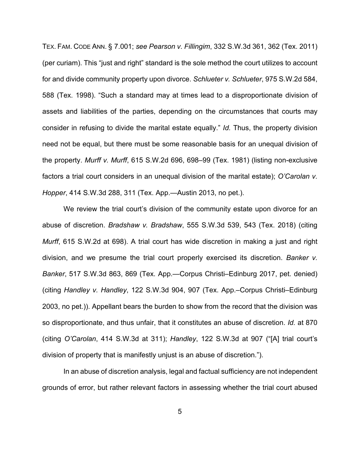TEX. FAM. CODE ANN. § 7.001; *see Pearson v. Fillingim*, 332 S.W.3d 361, 362 (Tex. 2011) (per curiam). This "just and right" standard is the sole method the court utilizes to account for and divide community property upon divorce. *Schlueter v. Schlueter*, 975 S.W.2d 584, 588 (Tex. 1998). "Such a standard may at times lead to a disproportionate division of assets and liabilities of the parties, depending on the circumstances that courts may consider in refusing to divide the marital estate equally." *Id.* Thus, the property division need not be equal, but there must be some reasonable basis for an unequal division of the property. *Murff v. Murff*, 615 S.W.2d 696, 698–99 (Tex. 1981) (listing non-exclusive factors a trial court considers in an unequal division of the marital estate); *O'Carolan v. Hopper*, 414 S.W.3d 288, 311 (Tex. App.—Austin 2013, no pet.).

We review the trial court's division of the community estate upon divorce for an abuse of discretion. *Bradshaw v. Bradshaw*, 555 S.W.3d 539, 543 (Tex. 2018) (citing *Murff*, 615 S.W.2d at 698). A trial court has wide discretion in making a just and right division, and we presume the trial court properly exercised its discretion. *Banker v. Banker*, 517 S.W.3d 863, 869 (Tex. App.—Corpus Christi–Edinburg 2017, pet. denied) (citing *Handley v. Handley*, 122 S.W.3d 904, 907 (Tex. App.–Corpus Christi–Edinburg 2003, no pet.)). Appellant bears the burden to show from the record that the division was so disproportionate, and thus unfair, that it constitutes an abuse of discretion. *Id.* at 870 (citing *O'Carolan*, 414 S.W.3d at 311); *Handley*, 122 S.W.3d at 907 ("[A] trial court's division of property that is manifestly unjust is an abuse of discretion.").

In an abuse of discretion analysis, legal and factual sufficiency are not independent grounds of error, but rather relevant factors in assessing whether the trial court abused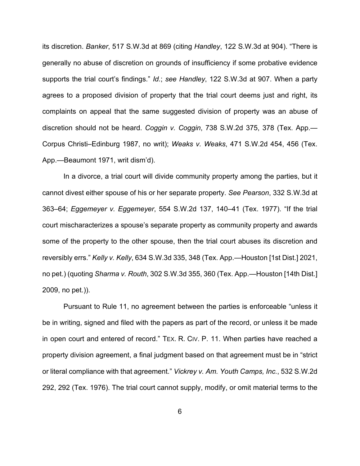its discretion. *Banker*, 517 S.W.3d at 869 (citing *Handley*, 122 S.W.3d at 904). "There is generally no abuse of discretion on grounds of insufficiency if some probative evidence supports the trial court's findings." *Id.*; *see Handley*, 122 S.W.3d at 907. When a party agrees to a proposed division of property that the trial court deems just and right, its complaints on appeal that the same suggested division of property was an abuse of discretion should not be heard. *Coggin v. Coggin*, 738 S.W.2d 375, 378 (Tex. App.— Corpus Christi–Edinburg 1987, no writ); *Weaks v. Weaks*, 471 S.W.2d 454, 456 (Tex. App.—Beaumont 1971, writ dism'd).

In a divorce, a trial court will divide community property among the parties, but it cannot divest either spouse of his or her separate property. *See Pearson*, 332 S.W.3d at 363–64; *Eggemeyer v. Eggemeyer*, 554 S.W.2d 137, 140–41 (Tex. 1977). "If the trial court mischaracterizes a spouse's separate property as community property and awards some of the property to the other spouse, then the trial court abuses its discretion and reversibly errs." *Kelly v. Kelly*, 634 S.W.3d 335, 348 (Tex. App.—Houston [1st Dist.] 2021, no pet.) (quoting *Sharma v. Routh*, 302 S.W.3d 355, 360 (Tex. App.—Houston [14th Dist.] 2009, no pet.)).

Pursuant to Rule 11, no agreement between the parties is enforceable "unless it be in writing, signed and filed with the papers as part of the record, or unless it be made in open court and entered of record." TEX. R. CIV. P. 11. When parties have reached a property division agreement, a final judgment based on that agreement must be in "strict or literal compliance with that agreement." *Vickrey v. Am. Youth Camps, Inc.*, 532 S.W.2d 292, 292 (Tex. 1976). The trial court cannot supply, modify, or omit material terms to the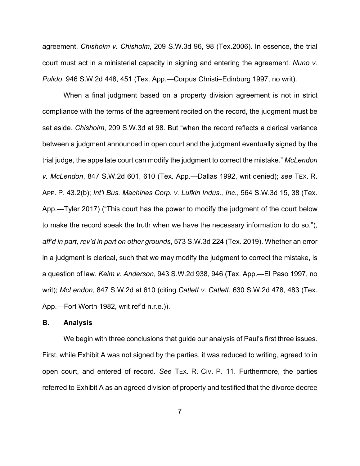agreement. *Chisholm v. Chisholm*, 209 S.W.3d 96, 98 (Tex.2006). In essence, the trial court must act in a ministerial capacity in signing and entering the agreement. *Nuno v. Pulido*, 946 S.W.2d 448, 451 (Tex. App.—Corpus Christi–Edinburg 1997, no writ).

When a final judgment based on a property division agreement is not in strict compliance with the terms of the agreement recited on the record, the judgment must be set aside. *Chisholm*, 209 S.W.3d at 98. But "when the record reflects a clerical variance between a judgment announced in open court and the judgment eventually signed by the trial judge, the appellate court can modify the judgment to correct the mistake." *McLendon v. McLendon*, 847 S.W.2d 601, 610 (Tex. App.—Dallas 1992, writ denied); *see* TEX. R. APP. P. 43.2(b); *Int'l Bus. Machines Corp. v. Lufkin Indus., Inc.*, 564 S.W.3d 15, 38 (Tex. App.—Tyler 2017) ("This court has the power to modify the judgment of the court below to make the record speak the truth when we have the necessary information to do so."), *aff'd in part, rev'd in part on other grounds*, 573 S.W.3d 224 (Tex. 2019). Whether an error in a judgment is clerical, such that we may modify the judgment to correct the mistake, is a question of law. *Keim v. Anderson*, 943 S.W.2d 938, 946 (Tex. App.—El Paso 1997, no writ); *McLendon*, 847 S.W.2d at 610 (citing *Catlett v. Catlett*, 630 S.W.2d 478, 483 (Tex. App.—Fort Worth 1982, writ ref'd n.r.e.)).

## **B. Analysis**

We begin with three conclusions that guide our analysis of Paul's first three issues. First, while Exhibit A was not signed by the parties, it was reduced to writing, agreed to in open court, and entered of record. *See* TEX. R. CIV. P. 11. Furthermore, the parties referred to Exhibit A as an agreed division of property and testified that the divorce decree

7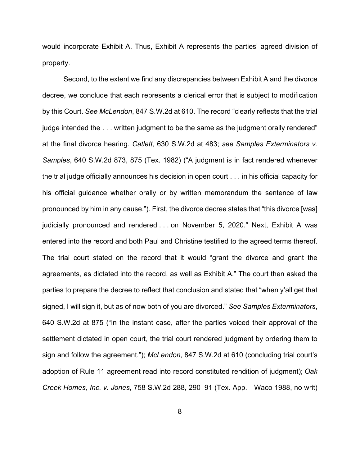would incorporate Exhibit A. Thus, Exhibit A represents the parties' agreed division of property.

Second, to the extent we find any discrepancies between Exhibit A and the divorce decree, we conclude that each represents a clerical error that is subject to modification by this Court. *See McLendon*, 847 S.W.2d at 610. The record "clearly reflects that the trial judge intended the . . . written judgment to be the same as the judgment orally rendered" at the final divorce hearing. *Catlett*, 630 S.W.2d at 483; *see Samples Exterminators v. Samples*, 640 S.W.2d 873, 875 (Tex. 1982) ("A judgment is in fact rendered whenever the trial judge officially announces his decision in open court . . . in his official capacity for his official guidance whether orally or by written memorandum the sentence of law pronounced by him in any cause."). First, the divorce decree states that "this divorce [was] judicially pronounced and rendered . . . on November 5, 2020." Next, Exhibit A was entered into the record and both Paul and Christine testified to the agreed terms thereof. The trial court stated on the record that it would "grant the divorce and grant the agreements, as dictated into the record, as well as Exhibit A." The court then asked the parties to prepare the decree to reflect that conclusion and stated that "when y'all get that signed, I will sign it, but as of now both of you are divorced." *See Samples Exterminators*, 640 S.W.2d at 875 ("In the instant case, after the parties voiced their approval of the settlement dictated in open court, the trial court rendered judgment by ordering them to sign and follow the agreement."); *McLendon*, 847 S.W.2d at 610 (concluding trial court's adoption of Rule 11 agreement read into record constituted rendition of judgment); *Oak Creek Homes, Inc. v. Jones*, 758 S.W.2d 288, 290–91 (Tex. App.—Waco 1988, no writ)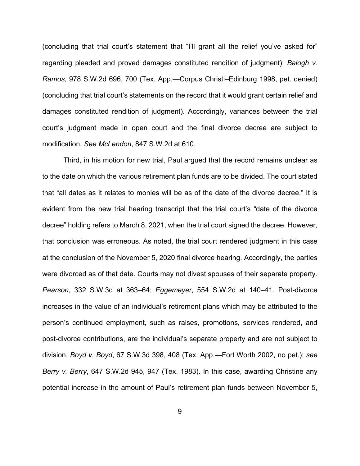(concluding that trial court's statement that "I'll grant all the relief you've asked for" regarding pleaded and proved damages constituted rendition of judgment); *Balogh v. Ramos*, 978 S.W.2d 696, 700 (Tex. App.—Corpus Christi–Edinburg 1998, pet. denied) (concluding that trial court's statements on the record that it would grant certain relief and damages constituted rendition of judgment). Accordingly, variances between the trial court's judgment made in open court and the final divorce decree are subject to modification. *See McLendon*, 847 S.W.2d at 610.

Third, in his motion for new trial, Paul argued that the record remains unclear as to the date on which the various retirement plan funds are to be divided. The court stated that "all dates as it relates to monies will be as of the date of the divorce decree." It is evident from the new trial hearing transcript that the trial court's "date of the divorce decree" holding refers to March 8, 2021, when the trial court signed the decree. However, that conclusion was erroneous. As noted, the trial court rendered judgment in this case at the conclusion of the November 5, 2020 final divorce hearing. Accordingly, the parties were divorced as of that date. Courts may not divest spouses of their separate property. *Pearson*, 332 S.W.3d at 363–64; *Eggemeyer*, 554 S.W.2d at 140–41. Post-divorce increases in the value of an individual's retirement plans which may be attributed to the person's continued employment, such as raises, promotions, services rendered, and post-divorce contributions, are the individual's separate property and are not subject to division. *Boyd v. Boyd*, 67 S.W.3d 398, 408 (Tex. App.—Fort Worth 2002, no pet.); *see Berry v. Berry*, 647 S.W.2d 945, 947 (Tex. 1983). In this case, awarding Christine any potential increase in the amount of Paul's retirement plan funds between November 5,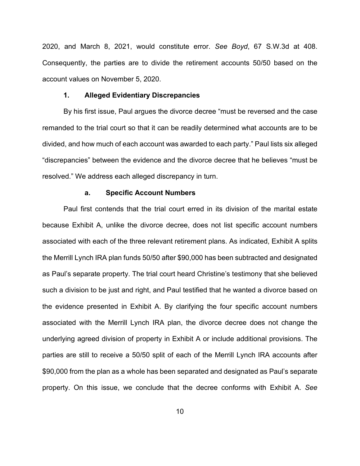2020, and March 8, 2021, would constitute error. *See Boyd*, 67 S.W.3d at 408. Consequently, the parties are to divide the retirement accounts 50/50 based on the account values on November 5, 2020.

#### **1. Alleged Evidentiary Discrepancies**

By his first issue, Paul argues the divorce decree "must be reversed and the case remanded to the trial court so that it can be readily determined what accounts are to be divided, and how much of each account was awarded to each party." Paul lists six alleged "discrepancies" between the evidence and the divorce decree that he believes "must be resolved." We address each alleged discrepancy in turn.

#### **a. Specific Account Numbers**

Paul first contends that the trial court erred in its division of the marital estate because Exhibit A, unlike the divorce decree, does not list specific account numbers associated with each of the three relevant retirement plans. As indicated, Exhibit A splits the Merrill Lynch IRA plan funds 50/50 after \$90,000 has been subtracted and designated as Paul's separate property. The trial court heard Christine's testimony that she believed such a division to be just and right, and Paul testified that he wanted a divorce based on the evidence presented in Exhibit A. By clarifying the four specific account numbers associated with the Merrill Lynch IRA plan, the divorce decree does not change the underlying agreed division of property in Exhibit A or include additional provisions. The parties are still to receive a 50/50 split of each of the Merrill Lynch IRA accounts after \$90,000 from the plan as a whole has been separated and designated as Paul's separate property. On this issue, we conclude that the decree conforms with Exhibit A. *See*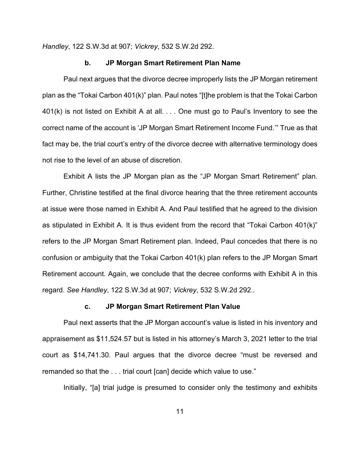*Handley*, 122 S.W.3d at 907; *Vickrey*, 532 S.W.2d 292.

## **b. JP Morgan Smart Retirement Plan Name**

Paul next argues that the divorce decree improperly lists the JP Morgan retirement plan as the "Tokai Carbon 401(k)" plan. Paul notes "[t]he problem is that the Tokai Carbon 401(k) is not listed on Exhibit A at all. . . . One must go to Paul's Inventory to see the correct name of the account is 'JP Morgan Smart Retirement Income Fund.'" True as that fact may be, the trial court's entry of the divorce decree with alternative terminology does not rise to the level of an abuse of discretion.

Exhibit A lists the JP Morgan plan as the "JP Morgan Smart Retirement" plan. Further, Christine testified at the final divorce hearing that the three retirement accounts at issue were those named in Exhibit A. And Paul testified that he agreed to the division as stipulated in Exhibit A. It is thus evident from the record that "Tokai Carbon 401(k)" refers to the JP Morgan Smart Retirement plan. Indeed, Paul concedes that there is no confusion or ambiguity that the Tokai Carbon 401(k) plan refers to the JP Morgan Smart Retirement account. Again, we conclude that the decree conforms with Exhibit A in this regard. *See Handley*, 122 S.W.3d at 907; *Vickrey*, 532 S.W.2d 292..

#### **c. JP Morgan Smart Retirement Plan Value**

Paul next asserts that the JP Morgan account's value is listed in his inventory and appraisement as \$11,524.57 but is listed in his attorney's March 3, 2021 letter to the trial court as \$14,741.30. Paul argues that the divorce decree "must be reversed and remanded so that the . . . trial court [can] decide which value to use."

Initially, "[a] trial judge is presumed to consider only the testimony and exhibits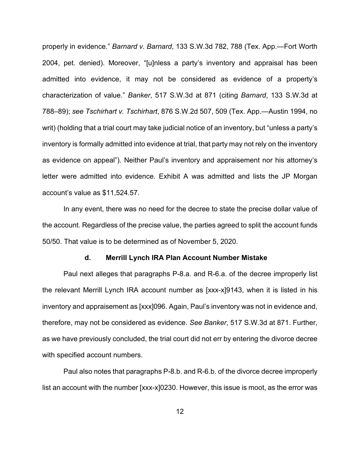properly in evidence." *Barnard v. Barnard*, 133 S.W.3d 782, 788 (Tex. App.—Fort Worth 2004, pet. denied). Moreover, "[u]nless a party's inventory and appraisal has been admitted into evidence, it may not be considered as evidence of a property's characterization of value." *Banker*, 517 S.W.3d at 871 (citing *Barnard*, 133 S.W.3d at 788–89); *see Tschirhart v. Tschirhart*, 876 S.W.2d 507, 509 (Tex. App.—Austin 1994, no writ) (holding that a trial court may take judicial notice of an inventory, but "unless a party's inventory is formally admitted into evidence at trial, that party may not rely on the inventory as evidence on appeal"). Neither Paul's inventory and appraisement nor his attorney's letter were admitted into evidence. Exhibit A was admitted and lists the JP Morgan account's value as \$11,524.57.

In any event, there was no need for the decree to state the precise dollar value of the account. Regardless of the precise value, the parties agreed to split the account funds 50/50. That value is to be determined as of November 5, 2020.

#### **d. Merrill Lynch IRA Plan Account Number Mistake**

Paul next alleges that paragraphs P-8.a. and R-6.a. of the decree improperly list the relevant Merrill Lynch IRA account number as [xxx-x]9143, when it is listed in his inventory and appraisement as [xxx]096. Again, Paul's inventory was not in evidence and, therefore, may not be considered as evidence. *See Banker*, 517 S.W.3d at 871. Further, as we have previously concluded, the trial court did not err by entering the divorce decree with specified account numbers.

Paul also notes that paragraphs P-8.b. and R-6.b. of the divorce decree improperly list an account with the number [xxx-x]0230. However, this issue is moot, as the error was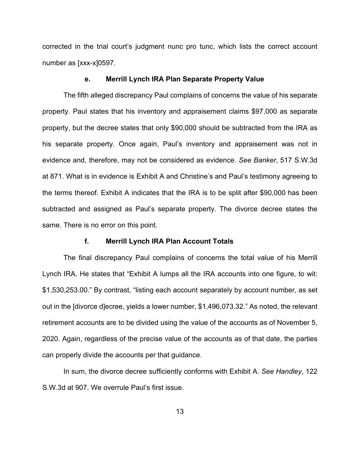corrected in the trial court's judgment nunc pro tunc, which lists the correct account number as [xxx-x]0597.

### **e. Merrill Lynch IRA Plan Separate Property Value**

The fifth alleged discrepancy Paul complains of concerns the value of his separate property. Paul states that his inventory and appraisement claims \$97,000 as separate property, but the decree states that only \$90,000 should be subtracted from the IRA as his separate property. Once again, Paul's inventory and appraisement was not in evidence and, therefore, may not be considered as evidence. *See Banker*, 517 S.W.3d at 871. What is in evidence is Exhibit A and Christine's and Paul's testimony agreeing to the terms thereof. Exhibit A indicates that the IRA is to be split after \$90,000 has been subtracted and assigned as Paul's separate property. The divorce decree states the same. There is no error on this point.

### **f. Merrill Lynch IRA Plan Account Totals**

The final discrepancy Paul complains of concerns the total value of his Merrill Lynch IRA. He states that "Exhibit A lumps all the IRA accounts into one figure, to wit: \$1,530,253.00." By contrast, "listing each account separately by account number, as set out in the [divorce d]ecree, yields a lower number, \$1,496,073.32." As noted, the relevant retirement accounts are to be divided using the value of the accounts as of November 5, 2020. Again, regardless of the precise value of the accounts as of that date, the parties can properly divide the accounts per that guidance.

In sum, the divorce decree sufficiently conforms with Exhibit A. *See Handley*, 122 S.W.3d at 907. We overrule Paul's first issue.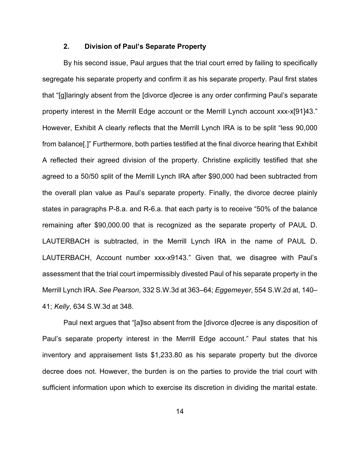## **2. Division of Paul's Separate Property**

By his second issue, Paul argues that the trial court erred by failing to specifically segregate his separate property and confirm it as his separate property. Paul first states that "[g]laringly absent from the [divorce d]ecree is any order confirming Paul's separate property interest in the Merrill Edge account or the Merrill Lynch account xxx-x[91]43." However, Exhibit A clearly reflects that the Merrill Lynch IRA is to be split "less 90,000 from balance[.]" Furthermore, both parties testified at the final divorce hearing that Exhibit A reflected their agreed division of the property. Christine explicitly testified that she agreed to a 50/50 split of the Merrill Lynch IRA after \$90,000 had been subtracted from the overall plan value as Paul's separate property. Finally, the divorce decree plainly states in paragraphs P-8.a. and R-6.a. that each party is to receive "50% of the balance remaining after \$90,000.00 that is recognized as the separate property of PAUL D. LAUTERBACH is subtracted, in the Merrill Lynch IRA in the name of PAUL D. LAUTERBACH, Account number xxx-x9143." Given that, we disagree with Paul's assessment that the trial court impermissibly divested Paul of his separate property in the Merrill Lynch IRA. *See Pearson*, 332 S.W.3d at 363–64; *Eggemeyer*, 554 S.W.2d at, 140– 41; *Kelly*, 634 S.W.3d at 348.

Paul next argues that "[a]lso absent from the [divorce d]ecree is any disposition of Paul's separate property interest in the Merrill Edge account." Paul states that his inventory and appraisement lists \$1,233.80 as his separate property but the divorce decree does not. However, the burden is on the parties to provide the trial court with sufficient information upon which to exercise its discretion in dividing the marital estate.

14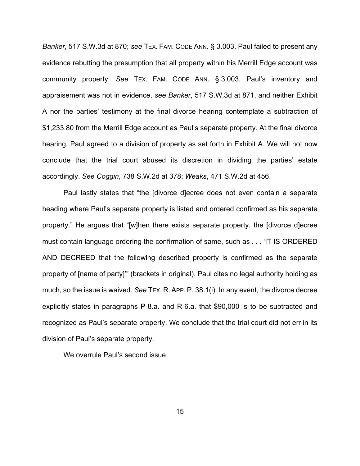*Banker*, 517 S.W.3d at 870; *see* TEX. FAM. CODE ANN. § 3.003. Paul failed to present any evidence rebutting the presumption that all property within his Merrill Edge account was community property. *See* TEX. FAM. CODE ANN. § 3.003. Paul's inventory and appraisement was not in evidence, *see Banker*, 517 S.W.3d at 871, and neither Exhibit A nor the parties' testimony at the final divorce hearing contemplate a subtraction of \$1,233.80 from the Merrill Edge account as Paul's separate property. At the final divorce hearing, Paul agreed to a division of property as set forth in Exhibit A. We will not now conclude that the trial court abused its discretion in dividing the parties' estate accordingly. *See Coggin*, 738 S.W.2d at 378; *Weaks*, 471 S.W.2d at 456.

Paul lastly states that "the [divorce d]ecree does not even contain a separate heading where Paul's separate property is listed and ordered confirmed as his separate property." He argues that "[w]hen there exists separate property, the [divorce d]ecree must contain language ordering the confirmation of same, such as . . . 'IT IS ORDERED AND DECREED that the following described property is confirmed as the separate property of [name of party]'" (brackets in original). Paul cites no legal authority holding as much, so the issue is waived. *See* TEX. R. APP. P. 38.1(i). In any event, the divorce decree explicitly states in paragraphs P-8.a. and R-6.a. that \$90,000 is to be subtracted and recognized as Paul's separate property. We conclude that the trial court did not err in its division of Paul's separate property.

We overrule Paul's second issue.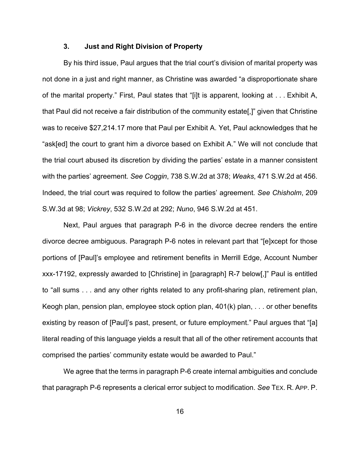## **3. Just and Right Division of Property**

By his third issue, Paul argues that the trial court's division of marital property was not done in a just and right manner, as Christine was awarded "a disproportionate share of the marital property." First, Paul states that "[i]t is apparent, looking at . . . Exhibit A, that Paul did not receive a fair distribution of the community estate[,]" given that Christine was to receive \$27,214.17 more that Paul per Exhibit A. Yet, Paul acknowledges that he "ask[ed] the court to grant him a divorce based on Exhibit A." We will not conclude that the trial court abused its discretion by dividing the parties' estate in a manner consistent with the parties' agreement. *See Coggin*, 738 S.W.2d at 378; *Weaks*, 471 S.W.2d at 456. Indeed, the trial court was required to follow the parties' agreement. *See Chisholm*, 209 S.W.3d at 98; *Vickrey*, 532 S.W.2d at 292; *Nuno*, 946 S.W.2d at 451.

Next, Paul argues that paragraph P-6 in the divorce decree renders the entire divorce decree ambiguous. Paragraph P-6 notes in relevant part that "[e]xcept for those portions of [Paul]'s employee and retirement benefits in Merrill Edge, Account Number xxx-17192, expressly awarded to [Christine] in [paragraph] R-7 below[,]" Paul is entitled to "all sums . . . and any other rights related to any profit-sharing plan, retirement plan, Keogh plan, pension plan, employee stock option plan,  $401(k)$  plan,  $\dots$  or other benefits existing by reason of [Paul]'s past, present, or future employment." Paul argues that "[a] literal reading of this language yields a result that all of the other retirement accounts that comprised the parties' community estate would be awarded to Paul."

We agree that the terms in paragraph P-6 create internal ambiguities and conclude that paragraph P-6 represents a clerical error subject to modification. *See* TEX. R. APP. P.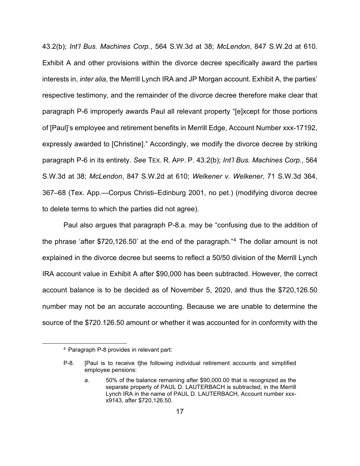43.2(b); *Int'l Bus. Machines Corp.*, 564 S.W.3d at 38; *McLendon*, 847 S.W.2d at 610. Exhibit A and other provisions within the divorce decree specifically award the parties interests in, *inter alia*, the Merrill Lynch IRA and JP Morgan account. Exhibit A, the parties' respective testimony, and the remainder of the divorce decree therefore make clear that paragraph P-6 improperly awards Paul all relevant property "[e]xcept for those portions of [Paul]'s employee and retirement benefits in Merrill Edge, Account Number xxx-17192, expressly awarded to [Christine]." Accordingly, we modify the divorce decree by striking paragraph P-6 in its entirety. *See* TEX. R. APP. P. 43.2(b); *Int'l Bus. Machines Corp.*, 564 S.W.3d at 38; *McLendon*, 847 S.W.2d at 610; *Welkener v. Welkener*, 71 S.W.3d 364, 367–68 (Tex. App.—Corpus Christi–Edinburg 2001, no pet.) (modifying divorce decree to delete terms to which the parties did not agree).

Paul also argues that paragraph P-8.a. may be "confusing due to the addition of the phrase 'after \$720,126.50' at the end of the paragraph."[4](#page-16-0) The dollar amount is not explained in the divorce decree but seems to reflect a 50/50 division of the Merrill Lynch IRA account value in Exhibit A after \$90,000 has been subtracted. However, the correct account balance is to be decided as of November 5, 2020, and thus the \$720,126.50 number may not be an accurate accounting. Because we are unable to determine the source of the \$720.126.50 amount or whether it was accounted for in conformity with the

<span id="page-16-0"></span><sup>4</sup> Paragraph P-8 provides in relevant part:

P-8. [Paul is to receive t]he following individual retirement accounts and simplified employee pensions:

a. 50% of the balance remaining after \$90,000.00 that is recognized as the separate property of PAUL D. LAUTERBACH is subtracted, in the Merrill Lynch IRA in the name of PAUL D. LAUTERBACH, Account number xxxx9143, after \$720,126.50.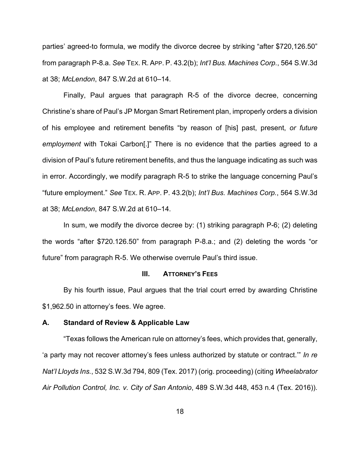parties' agreed-to formula, we modify the divorce decree by striking "after \$720,126.50" from paragraph P-8.a. *See* TEX. R. APP. P. 43.2(b); *Int'l Bus. Machines Corp.*, 564 S.W.3d at 38; *McLendon*, 847 S.W.2d at 610–14.

Finally, Paul argues that paragraph R-5 of the divorce decree, concerning Christine's share of Paul's JP Morgan Smart Retirement plan, improperly orders a division of his employee and retirement benefits "by reason of [his] past, present, *or future employment* with Tokai Carbon[.]" There is no evidence that the parties agreed to a division of Paul's future retirement benefits, and thus the language indicating as such was in error. Accordingly, we modify paragraph R-5 to strike the language concerning Paul's "future employment." *See* TEX. R. APP. P. 43.2(b); *Int'l Bus. Machines Corp.*, 564 S.W.3d at 38; *McLendon*, 847 S.W.2d at 610–14.

In sum, we modify the divorce decree by: (1) striking paragraph P-6; (2) deleting the words "after \$720.126.50" from paragraph P-8.a.; and (2) deleting the words "or future" from paragraph R-5. We otherwise overrule Paul's third issue.

#### **III. ATTORNEY'S FEES**

By his fourth issue, Paul argues that the trial court erred by awarding Christine \$1,962.50 in attorney's fees. We agree.

#### **A. Standard of Review & Applicable Law**

"Texas follows the American rule on attorney's fees, which provides that, generally, 'a party may not recover attorney's fees unless authorized by statute or contract.'" *In re Nat'l Lloyds Ins.*, 532 S.W.3d 794, 809 (Tex. 2017) (orig. proceeding) (citing *Wheelabrator Air Pollution Control, Inc. v. City of San Antonio*, 489 S.W.3d 448, 453 n.4 (Tex. 2016)).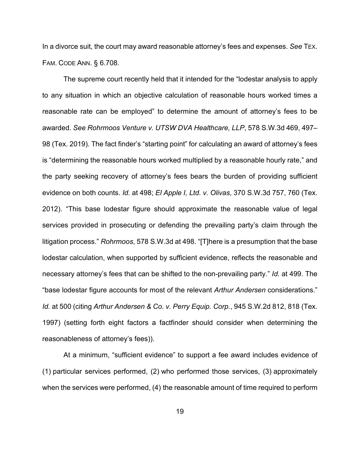In a divorce suit, the court may award reasonable attorney's fees and expenses. *See* TEX. FAM. CODE ANN. § 6.708.

The supreme court recently held that it intended for the "lodestar analysis to apply to any situation in which an objective calculation of reasonable hours worked times a reasonable rate can be employed" to determine the amount of attorney's fees to be awarded. *See Rohrmoos Venture v. UTSW DVA Healthcare, LLP*, 578 S.W.3d 469, 497– 98 (Tex. 2019). The fact finder's "starting point" for calculating an award of attorney's fees is "determining the reasonable hours worked multiplied by a reasonable hourly rate," and the party seeking recovery of attorney's fees bears the burden of providing sufficient evidence on both counts. *Id.* at 498; *El Apple I, Ltd. v. Olivas*, 370 S.W.3d 757, 760 (Tex. 2012). "This base lodestar figure should approximate the reasonable value of legal services provided in prosecuting or defending the prevailing party's claim through the litigation process." *Rohrmoos*, 578 S.W.3d at 498. "[T]here is a presumption that the base lodestar calculation, when supported by sufficient evidence, reflects the reasonable and necessary attorney's fees that can be shifted to the non-prevailing party." *Id.* at 499. The "base lodestar figure accounts for most of the relevant *Arthur Andersen* considerations." *Id.* at 500 (citing *Arthur Andersen & Co. v. Perry Equip. Corp.*, 945 S.W.2d 812, 818 (Tex. 1997) (setting forth eight factors a factfinder should consider when determining the reasonableness of attorney's fees)).

At a minimum, "sufficient evidence" to support a fee award includes evidence of (1) particular services performed, (2) who performed those services, (3) approximately when the services were performed, (4) the reasonable amount of time required to perform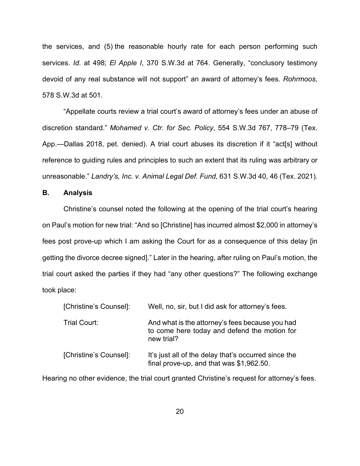the services, and (5) the reasonable hourly rate for each person performing such services. *Id.* at 498; *El Apple I*, 370 S.W.3d at 764. Generally, "conclusory testimony devoid of any real substance will not support" an award of attorney's fees. *Rohrmoos*, 578 S.W.3d at 501.

"Appellate courts review a trial court's award of attorney's fees under an abuse of discretion standard." *Mohamed v. Ctr. for Sec. Policy*, 554 S.W.3d 767, 778–79 (Tex. App.—Dallas 2018, pet. denied). A trial court abuses its discretion if it "act[s] without reference to guiding rules and principles to such an extent that its ruling was arbitrary or unreasonable." *Landry's, Inc. v. Animal Legal Def. Fund*, 631 S.W.3d 40, 46 (Tex. 2021).

## **B. Analysis**

Christine's counsel noted the following at the opening of the trial court's hearing on Paul's motion for new trial: "And so [Christine] has incurred almost \$2,000 in attorney's fees post prove-up which I am asking the Court for as a consequence of this delay [in getting the divorce decree signed]." Later in the hearing, after ruling on Paul's motion, the trial court asked the parties if they had "any other questions?" The following exchange took place:

| [Christine's Counsel]: | Well, no, sir, but I did ask for attorney's fees.                                                             |
|------------------------|---------------------------------------------------------------------------------------------------------------|
| Trial Court:           | And what is the attorney's fees because you had<br>to come here today and defend the motion for<br>new trial? |
| [Christine's Counsel]: | It's just all of the delay that's occurred since the<br>final prove-up, and that was \$1,962.50.              |

Hearing no other evidence, the trial court granted Christine's request for attorney's fees.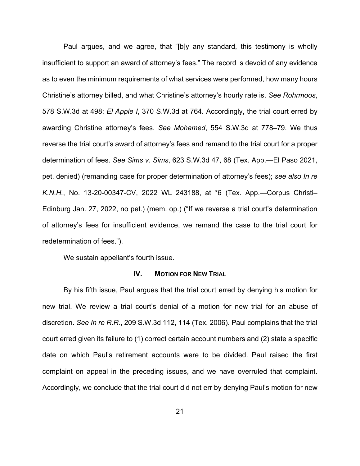Paul argues, and we agree, that "[b]y any standard, this testimony is wholly insufficient to support an award of attorney's fees." The record is devoid of any evidence as to even the minimum requirements of what services were performed, how many hours Christine's attorney billed, and what Christine's attorney's hourly rate is. *See Rohrmoos*, 578 S.W.3d at 498; *El Apple I*, 370 S.W.3d at 764. Accordingly, the trial court erred by awarding Christine attorney's fees. *See Mohamed*, 554 S.W.3d at 778–79. We thus reverse the trial court's award of attorney's fees and remand to the trial court for a proper determination of fees. *See Sims v. Sims*, 623 S.W.3d 47, 68 (Tex. App.—El Paso 2021, pet. denied) (remanding case for proper determination of attorney's fees); *see also In re K.N.H.*, No. 13-20-00347-CV, 2022 WL 243188, at \*6 (Tex. App.—Corpus Christi– Edinburg Jan. 27, 2022, no pet.) (mem. op.) ("If we reverse a trial court's determination of attorney's fees for insufficient evidence, we remand the case to the trial court for redetermination of fees.").

We sustain appellant's fourth issue.

#### **IV. MOTION FOR NEW TRIAL**

By his fifth issue, Paul argues that the trial court erred by denying his motion for new trial. We review a trial court's denial of a motion for new trial for an abuse of discretion. *See In re R.R.*, 209 S.W.3d 112, 114 (Tex. 2006). Paul complains that the trial court erred given its failure to (1) correct certain account numbers and (2) state a specific date on which Paul's retirement accounts were to be divided. Paul raised the first complaint on appeal in the preceding issues, and we have overruled that complaint. Accordingly, we conclude that the trial court did not err by denying Paul's motion for new